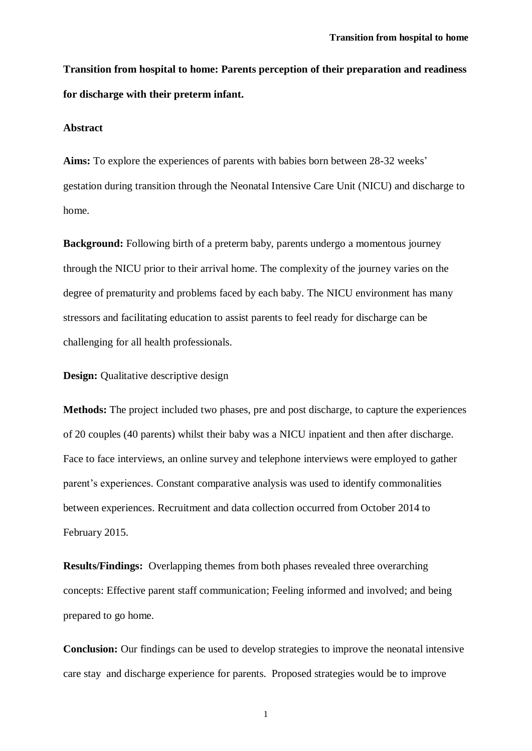**Transition from hospital to home: Parents perception of their preparation and readiness for discharge with their preterm infant.**

#### **Abstract**

**Aims:** To explore the experiences of parents with babies born between 28-32 weeks' gestation during transition through the Neonatal Intensive Care Unit (NICU) and discharge to home.

**Background:** Following birth of a preterm baby, parents undergo a momentous journey through the NICU prior to their arrival home. The complexity of the journey varies on the degree of prematurity and problems faced by each baby. The NICU environment has many stressors and facilitating education to assist parents to feel ready for discharge can be challenging for all health professionals.

**Design:** Qualitative descriptive design

**Methods:** The project included two phases, pre and post discharge, to capture the experiences of 20 couples (40 parents) whilst their baby was a NICU inpatient and then after discharge. Face to face interviews, an online survey and telephone interviews were employed to gather parent's experiences. Constant comparative analysis was used to identify commonalities between experiences. Recruitment and data collection occurred from October 2014 to February 2015.

**Results/Findings:** Overlapping themes from both phases revealed three overarching concepts: Effective parent staff communication; Feeling informed and involved; and being prepared to go home.

**Conclusion:** Our findings can be used to develop strategies to improve the neonatal intensive care stay and discharge experience for parents. Proposed strategies would be to improve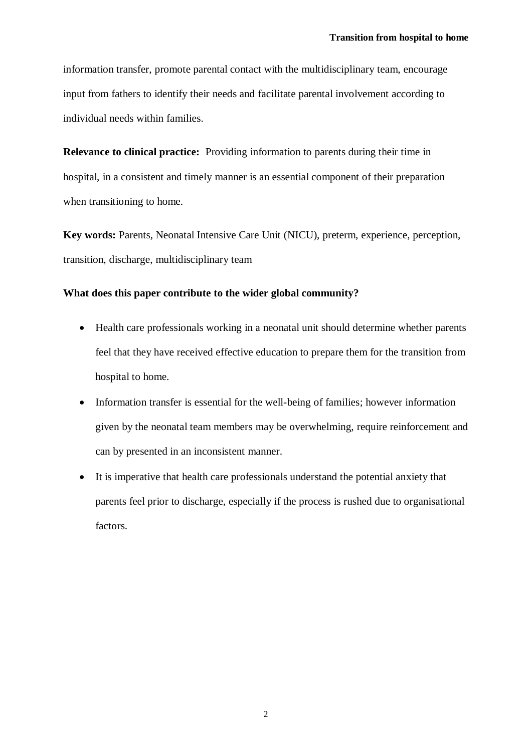information transfer, promote parental contact with the multidisciplinary team, encourage input from fathers to identify their needs and facilitate parental involvement according to individual needs within families.

**Relevance to clinical practice:** Providing information to parents during their time in hospital, in a consistent and timely manner is an essential component of their preparation when transitioning to home.

**Key words:** Parents, Neonatal Intensive Care Unit (NICU), preterm, experience, perception, transition, discharge, multidisciplinary team

### **What does this paper contribute to the wider global community?**

- Health care professionals working in a neonatal unit should determine whether parents feel that they have received effective education to prepare them for the transition from hospital to home.
- Information transfer is essential for the well-being of families; however information given by the neonatal team members may be overwhelming, require reinforcement and can by presented in an inconsistent manner.
- It is imperative that health care professionals understand the potential anxiety that parents feel prior to discharge, especially if the process is rushed due to organisational factors.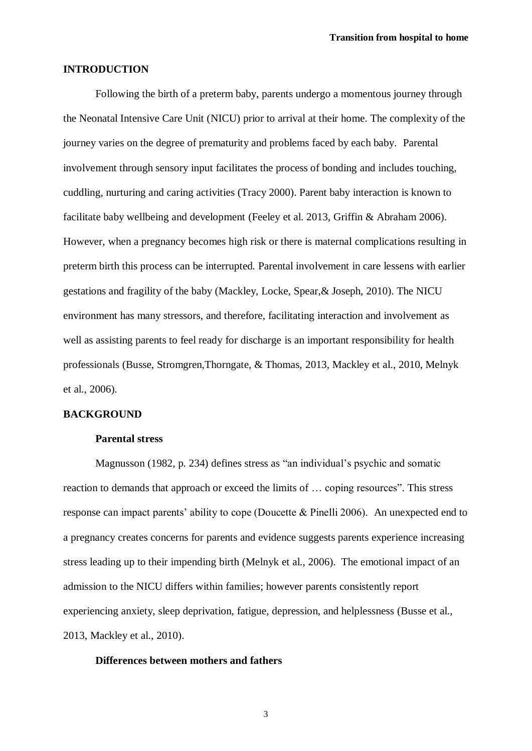### **INTRODUCTION**

Following the birth of a preterm baby, parents undergo a momentous journey through the Neonatal Intensive Care Unit (NICU) prior to arrival at their home. The complexity of the journey varies on the degree of prematurity and problems faced by each baby. Parental involvement through sensory input facilitates the process of bonding and includes touching, cuddling, nurturing and caring activities (Tracy 2000). Parent baby interaction is known to facilitate baby wellbeing and development (Feeley et al. 2013, Griffin & Abraham 2006). However, when a pregnancy becomes high risk or there is maternal complications resulting in preterm birth this process can be interrupted. Parental involvement in care lessens with earlier gestations and fragility of the baby (Mackley, Locke, Spear,& Joseph, 2010). The NICU environment has many stressors, and therefore, facilitating interaction and involvement as well as assisting parents to feel ready for discharge is an important responsibility for health professionals (Busse, Stromgren,Thorngate, & Thomas, 2013, Mackley et al., 2010, Melnyk et al., 2006).

### **BACKGROUND**

### **Parental stress**

Magnusson (1982, p. 234) defines stress as "an individual's psychic and somatic reaction to demands that approach or exceed the limits of … coping resources". This stress response can impact parents' ability to cope (Doucette & Pinelli 2006). An unexpected end to a pregnancy creates concerns for parents and evidence suggests parents experience increasing stress leading up to their impending birth (Melnyk et al., 2006). The emotional impact of an admission to the NICU differs within families; however parents consistently report experiencing anxiety, sleep deprivation, fatigue, depression, and helplessness (Busse et al., 2013, Mackley et al., 2010).

### **Differences between mothers and fathers**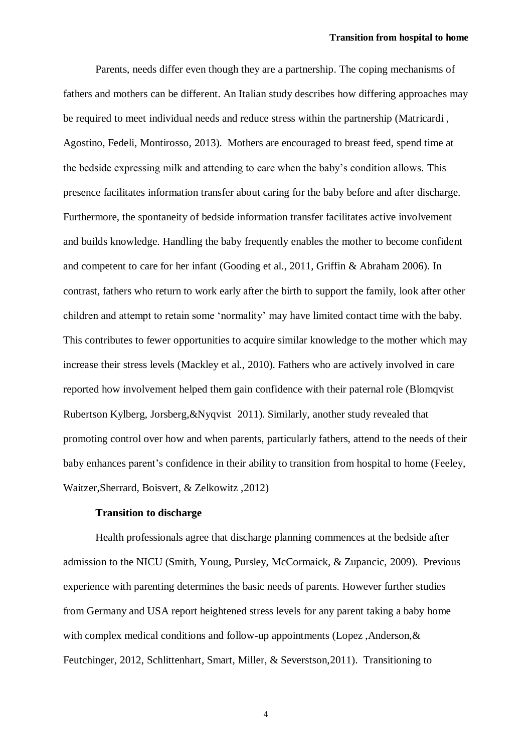Parents, needs differ even though they are a partnership. The coping mechanisms of fathers and mothers can be different. An Italian study describes how differing approaches may be required to meet individual needs and reduce stress within the partnership (Matricardi *,*  Agostino, Fedeli, Montirosso, 2013). Mothers are encouraged to breast feed, spend time at the bedside expressing milk and attending to care when the baby's condition allows. This presence facilitates information transfer about caring for the baby before and after discharge. Furthermore, the spontaneity of bedside information transfer facilitates active involvement and builds knowledge. Handling the baby frequently enables the mother to become confident and competent to care for her infant (Gooding et al., 2011, Griffin & Abraham 2006). In contrast, fathers who return to work early after the birth to support the family, look after other children and attempt to retain some 'normality' may have limited contact time with the baby. This contributes to fewer opportunities to acquire similar knowledge to the mother which may increase their stress levels (Mackley et al., 2010). Fathers who are actively involved in care reported how involvement helped them gain confidence with their paternal role (Blomqvist Rubertson Kylberg, Jorsberg,&Nyqvist 2011). Similarly, another study revealed that promoting control over how and when parents, particularly fathers, attend to the needs of their baby enhances parent's confidence in their ability to transition from hospital to home (Feeley, Waitzer,Sherrard, Boisvert, & Zelkowitz ,2012)

### **Transition to discharge**

Health professionals agree that discharge planning commences at the bedside after admission to the NICU (Smith, Young, Pursley, McCormaick, & Zupancic, 2009). Previous experience with parenting determines the basic needs of parents. However further studies from Germany and USA report heightened stress levels for any parent taking a baby home with complex medical conditions and follow-up appointments (Lopez, Anderson, & Feutchinger, 2012, Schlittenhart, Smart, Miller, & Severstson,2011). Transitioning to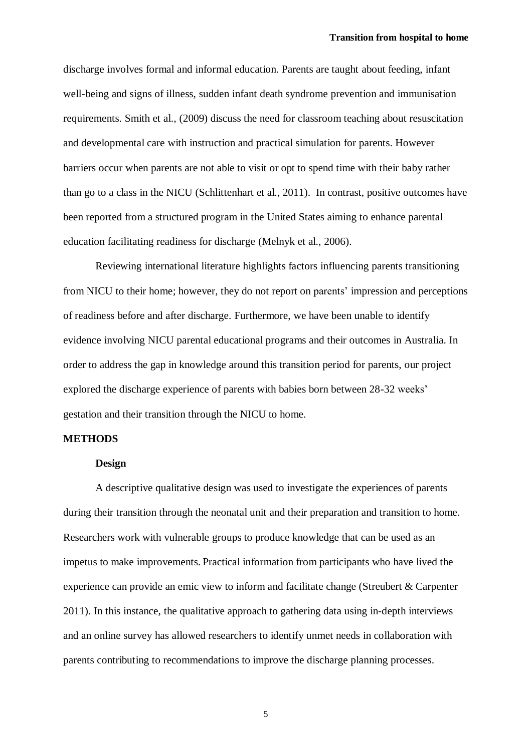discharge involves formal and informal education. Parents are taught about feeding, infant well-being and signs of illness, sudden infant death syndrome prevention and immunisation requirements. Smith et al., (2009) discuss the need for classroom teaching about resuscitation and developmental care with instruction and practical simulation for parents. However barriers occur when parents are not able to visit or opt to spend time with their baby rather than go to a class in the NICU (Schlittenhart et al., 2011). In contrast, positive outcomes have been reported from a structured program in the United States aiming to enhance parental education facilitating readiness for discharge (Melnyk et al., 2006).

Reviewing international literature highlights factors influencing parents transitioning from NICU to their home; however, they do not report on parents' impression and perceptions of readiness before and after discharge. Furthermore, we have been unable to identify evidence involving NICU parental educational programs and their outcomes in Australia. In order to address the gap in knowledge around this transition period for parents, our project explored the discharge experience of parents with babies born between 28-32 weeks' gestation and their transition through the NICU to home.

### **METHODS**

#### **Design**

A descriptive qualitative design was used to investigate the experiences of parents during their transition through the neonatal unit and their preparation and transition to home. Researchers work with vulnerable groups to produce knowledge that can be used as an impetus to make improvements. Practical information from participants who have lived the experience can provide an emic view to inform and facilitate change (Streubert & Carpenter 2011). In this instance, the qualitative approach to gathering data using in-depth interviews and an online survey has allowed researchers to identify unmet needs in collaboration with parents contributing to recommendations to improve the discharge planning processes.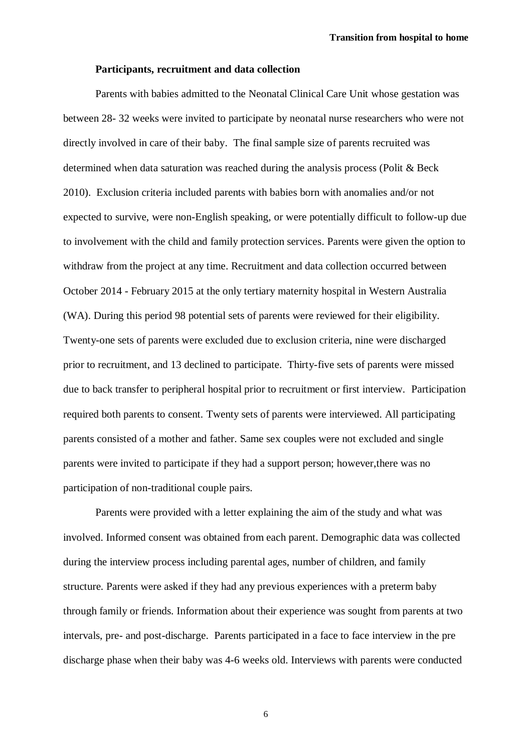#### **Participants, recruitment and data collection**

Parents with babies admitted to the Neonatal Clinical Care Unit whose gestation was between 28- 32 weeks were invited to participate by neonatal nurse researchers who were not directly involved in care of their baby. The final sample size of parents recruited was determined when data saturation was reached during the analysis process (Polit & Beck 2010). Exclusion criteria included parents with babies born with anomalies and/or not expected to survive, were non-English speaking, or were potentially difficult to follow-up due to involvement with the child and family protection services. Parents were given the option to withdraw from the project at any time. Recruitment and data collection occurred between October 2014 - February 2015 at the only tertiary maternity hospital in Western Australia (WA). During this period 98 potential sets of parents were reviewed for their eligibility. Twenty-one sets of parents were excluded due to exclusion criteria, nine were discharged prior to recruitment, and 13 declined to participate. Thirty-five sets of parents were missed due to back transfer to peripheral hospital prior to recruitment or first interview. Participation required both parents to consent. Twenty sets of parents were interviewed. All participating parents consisted of a mother and father. Same sex couples were not excluded and single parents were invited to participate if they had a support person; however,there was no participation of non-traditional couple pairs.

Parents were provided with a letter explaining the aim of the study and what was involved. Informed consent was obtained from each parent. Demographic data was collected during the interview process including parental ages, number of children, and family structure. Parents were asked if they had any previous experiences with a preterm baby through family or friends. Information about their experience was sought from parents at two intervals, pre- and post-discharge. Parents participated in a face to face interview in the pre discharge phase when their baby was 4-6 weeks old. Interviews with parents were conducted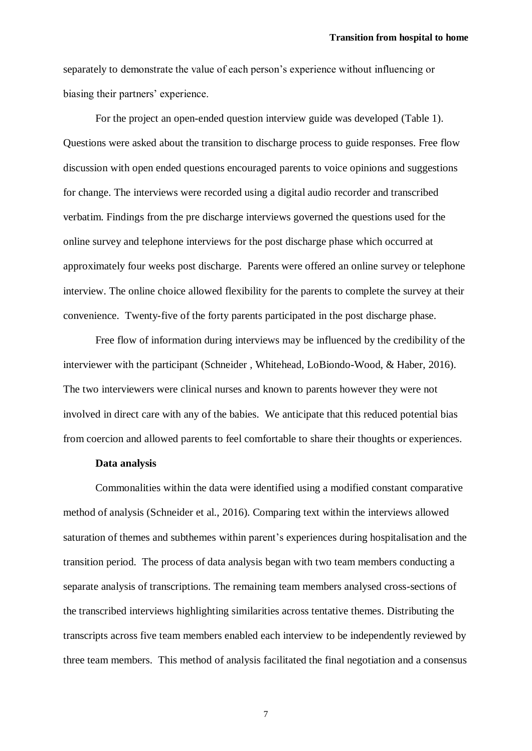separately to demonstrate the value of each person's experience without influencing or biasing their partners' experience.

For the project an open-ended question interview guide was developed (Table 1). Questions were asked about the transition to discharge process to guide responses. Free flow discussion with open ended questions encouraged parents to voice opinions and suggestions for change. The interviews were recorded using a digital audio recorder and transcribed verbatim. Findings from the pre discharge interviews governed the questions used for the online survey and telephone interviews for the post discharge phase which occurred at approximately four weeks post discharge. Parents were offered an online survey or telephone interview. The online choice allowed flexibility for the parents to complete the survey at their convenience. Twenty-five of the forty parents participated in the post discharge phase.

Free flow of information during interviews may be influenced by the credibility of the interviewer with the participant (Schneider , Whitehead, LoBiondo-Wood, & Haber, 2016). The two interviewers were clinical nurses and known to parents however they were not involved in direct care with any of the babies. We anticipate that this reduced potential bias from coercion and allowed parents to feel comfortable to share their thoughts or experiences.

### **Data analysis**

Commonalities within the data were identified using a modified constant comparative method of analysis (Schneider et al., 2016). Comparing text within the interviews allowed saturation of themes and subthemes within parent's experiences during hospitalisation and the transition period. The process of data analysis began with two team members conducting a separate analysis of transcriptions. The remaining team members analysed cross-sections of the transcribed interviews highlighting similarities across tentative themes. Distributing the transcripts across five team members enabled each interview to be independently reviewed by three team members. This method of analysis facilitated the final negotiation and a consensus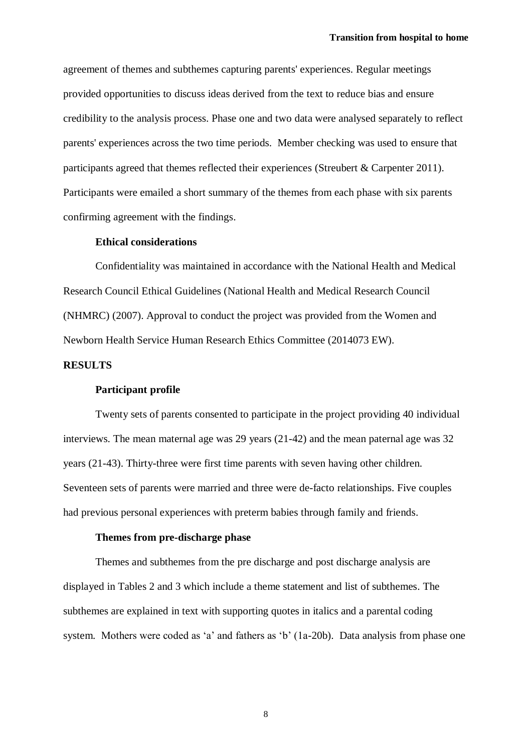agreement of themes and subthemes capturing parents' experiences. Regular meetings provided opportunities to discuss ideas derived from the text to reduce bias and ensure credibility to the analysis process. Phase one and two data were analysed separately to reflect parents' experiences across the two time periods. Member checking was used to ensure that participants agreed that themes reflected their experiences (Streubert & Carpenter 2011). Participants were emailed a short summary of the themes from each phase with six parents confirming agreement with the findings.

### **Ethical considerations**

Confidentiality was maintained in accordance with the National Health and Medical Research Council Ethical Guidelines (National Health and Medical Research Council (NHMRC) (2007). Approval to conduct the project was provided from the Women and Newborn Health Service Human Research Ethics Committee (2014073 EW).

#### **RESULTS**

#### **Participant profile**

Twenty sets of parents consented to participate in the project providing 40 individual interviews. The mean maternal age was 29 years (21-42) and the mean paternal age was 32 years (21-43). Thirty-three were first time parents with seven having other children. Seventeen sets of parents were married and three were de-facto relationships. Five couples had previous personal experiences with preterm babies through family and friends.

### **Themes from pre-discharge phase**

Themes and subthemes from the pre discharge and post discharge analysis are displayed in Tables 2 and 3 which include a theme statement and list of subthemes. The subthemes are explained in text with supporting quotes in italics and a parental coding system. Mothers were coded as 'a' and fathers as 'b' (1a-20b). Data analysis from phase one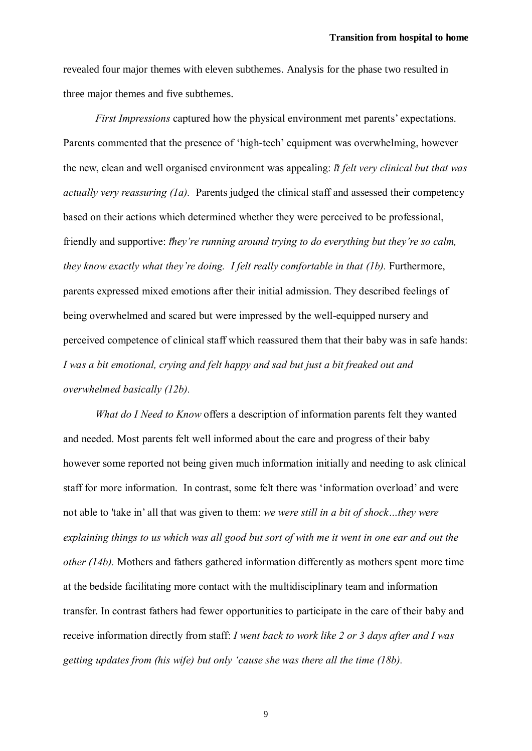revealed four major themes with eleven subthemes. Analysis for the phase two resulted in three major themes and five subthemes.

*First Impressions* captured how the physical environment met parents' expectations. Parents commented that the presence of 'high-tech' equipment was overwhelming, however the new, clean and well organised environment was appealing: *"it felt very clinical but that was actually very reassuring (1a).* Parents judged the clinical staff and assessed their competency based on their actions which determined whether they were perceived to be professional, friendly and supportive: *they're running around trying to do everything but they're so calm*, *they know exactly what they're doing. I felt really comfortable in that (1b).* Furthermore, parents expressed mixed emotions after their initial admission. They described feelings of being overwhelmed and scared but were impressed by the well-equipped nursery and perceived competence of clinical staff which reassured them that their baby was in safe hands: *I was a bit emotional, crying and felt happy and sad but just a bit freaked out and overwhelmed basically (12b).*

*What do I Need to Know* offers a description of information parents felt they wanted and needed. Most parents felt well informed about the care and progress of their baby however some reported not being given much information initially and needing to ask clinical staff for more information. In contrast, some felt there was 'information overload' and were not able to 'take in' all that was given to them: *we were still in a bit of shock…they were explaining things to us which was all good but sort of with me it went in one ear and out the other (14b)*. Mothers and fathers gathered information differently as mothers spent more time at the bedside facilitating more contact with the multidisciplinary team and information transfer. In contrast fathers had fewer opportunities to participate in the care of their baby and receive information directly from staff: *I went back to work like 2 or 3 days after and I was getting updates from (his wife) but only 'cause she was there all the time (18b).*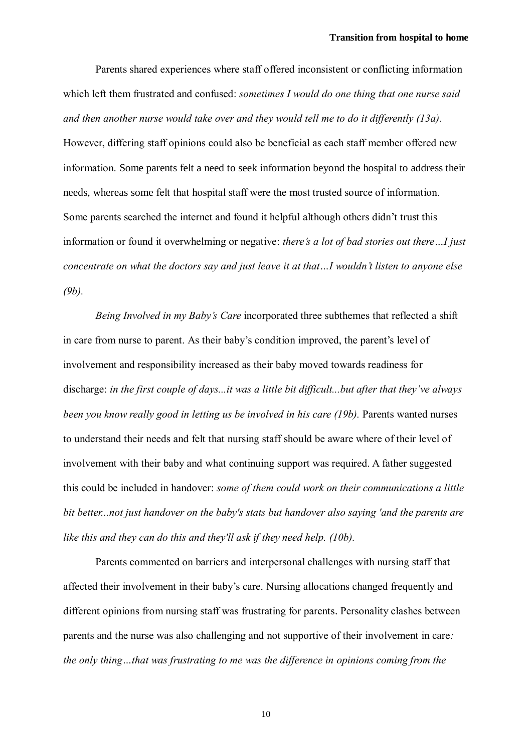Parents shared experiences where staff offered inconsistent or conflicting information which left them frustrated and confused: *sometimes I would do one thing that one nurse said and then another nurse would take over and they would tell me to do it differently (13a).* However, differing staff opinions could also be beneficial as each staff member offered new information. Some parents felt a need to seek information beyond the hospital to address their needs, whereas some felt that hospital staff were the most trusted source of information. Some parents searched the internet and found it helpful although others didn't trust this information or found it overwhelming or negative: *there's a lot of bad stories out there…I just concentrate on what the doctors say and just leave it at that…I wouldn't listen to anyone else (9b).* 

*Being Involved in my Baby's Care* incorporated three subthemes that reflected a shift in care from nurse to parent. As their baby's condition improved, the parent's level of involvement and responsibility increased as their baby moved towards readiness for discharge: *in the first couple of days...it was a little bit difficult...but after that they've always been you know really good in letting us be involved in his care (19b).* Parents wanted nurses to understand their needs and felt that nursing staff should be aware where of their level of involvement with their baby and what continuing support was required. A father suggested this could be included in handover: *some of them could work on their communications a little bit better...not just handover on the baby's stats but handover also saying 'and the parents are like this and they can do this and they'll ask if they need help. (10b).*

Parents commented on barriers and interpersonal challenges with nursing staff that affected their involvement in their baby's care. Nursing allocations changed frequently and different opinions from nursing staff was frustrating for parents. Personality clashes between parents and the nurse was also challenging and not supportive of their involvement in care*: the only thing…that was frustrating to me was the difference in opinions coming from the*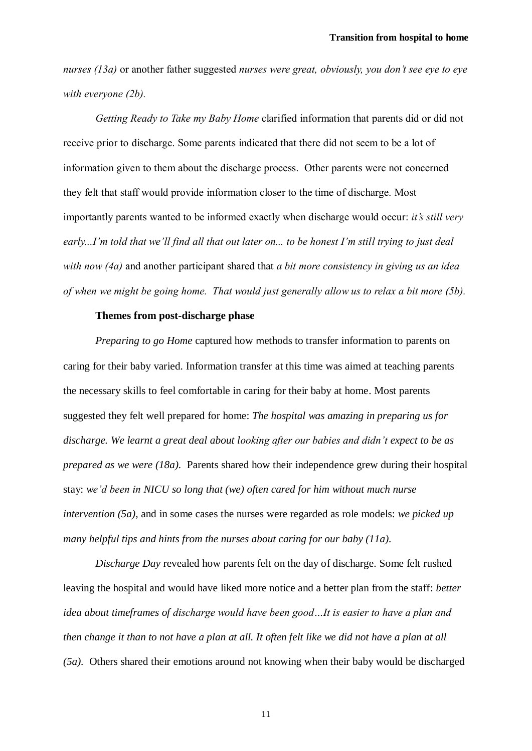*nurses (13a)* or another father suggested *nurses were great, obviously, you don't see eye to eye with everyone (2b).*

*Getting Ready to Take my Baby Home* clarified information that parents did or did not receive prior to discharge. Some parents indicated that there did not seem to be a lot of information given to them about the discharge process. Other parents were not concerned they felt that staff would provide information closer to the time of discharge. Most importantly parents wanted to be informed exactly when discharge would occur: *it's still very early...I'm told that we'll find all that out later on... to be honest I'm still trying to just deal with now (4a)* and another participant shared that *a bit more consistency in giving us an idea of when we might be going home. That would just generally allow us to relax a bit more (5b).*

### **Themes from post-discharge phase**

*Preparing to go Home* captured how methods to transfer information to parents on caring for their baby varied. Information transfer at this time was aimed at teaching parents the necessary skills to feel comfortable in caring for their baby at home. Most parents suggested they felt well prepared for home: *The hospital was amazing in preparing us for discharge. We learnt a great deal about looking after our babies and didn't expect to be as prepared as we were (18a).* Parents shared how their independence grew during their hospital stay: *we'd been in NICU so long that (we) often cared for him without much nurse intervention (5a),* and in some cases the nurses were regarded as role models: *we picked up many helpful tips and hints from the nurses about caring for our baby (11a).* 

*Discharge Day* revealed how parents felt on the day of discharge. Some felt rushed leaving the hospital and would have liked more notice and a better plan from the staff: *better idea about timeframes of discharge would have been good…It is easier to have a plan and then change it than to not have a plan at all. It often felt like we did not have a plan at all (5a).* Others shared their emotions around not knowing when their baby would be discharged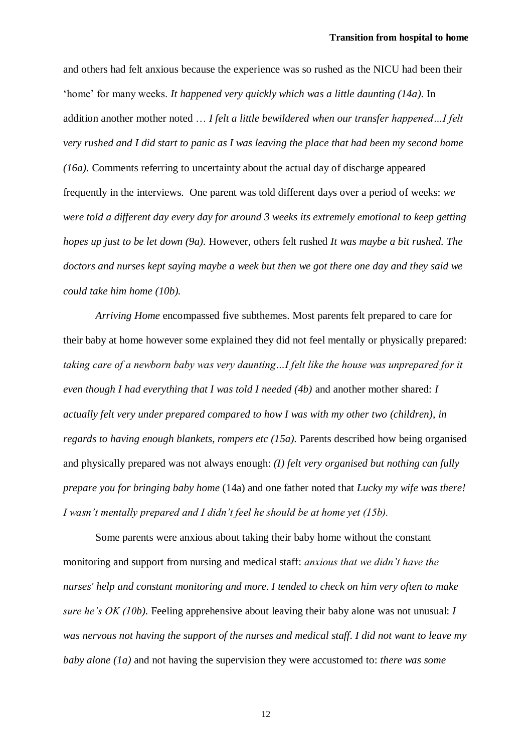and others had felt anxious because the experience was so rushed as the NICU had been their 'home' for many weeks. *It happened very quickly which was a little daunting (14a).* In addition another mother noted … *I felt a little bewildered when our transfer happened…I felt very rushed and I did start to panic as I was leaving the place that had been my second home (16a).* Comments referring to uncertainty about the actual day of discharge appeared frequently in the interviews. One parent was told different days over a period of weeks: *we were told a different day every day for around 3 weeks its extremely emotional to keep getting hopes up just to be let down (9a).* However, others felt rushed *It was maybe a bit rushed. The doctors and nurses kept saying maybe a week but then we got there one day and they said we could take him home (10b).* 

*Arriving Home* encompassed five subthemes. Most parents felt prepared to care for their baby at home however some explained they did not feel mentally or physically prepared: *taking care of a newborn baby was very daunting…I felt like the house was unprepared for it even though I had everything that I was told I needed (4b)* and another mother shared: *I actually felt very under prepared compared to how I was with my other two (children), in regards to having enough blankets, rompers etc (15a).* Parents described how being organised and physically prepared was not always enough: *(I) felt very organised but nothing can fully prepare you for bringing baby home* (14a) and one father noted that *Lucky my wife was there! I wasn't mentally prepared and I didn't feel he should be at home yet (15b).*

Some parents were anxious about taking their baby home without the constant monitoring and support from nursing and medical staff: *anxious that we didn't have the nurses' help and constant monitoring and more. I tended to check on him very often to make sure he's OK (10b).* Feeling apprehensive about leaving their baby alone was not unusual: *I was nervous not having the support of the nurses and medical staff. I did not want to leave my baby alone (1a)* and not having the supervision they were accustomed to: *there was some*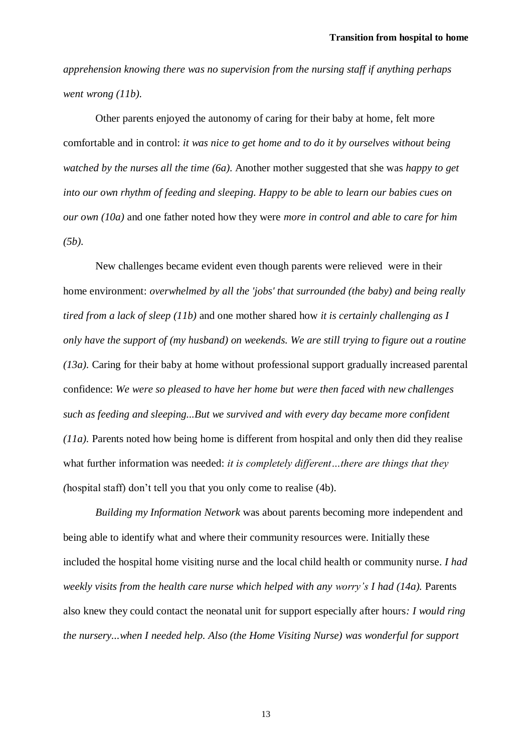*apprehension knowing there was no supervision from the nursing staff if anything perhaps went wrong (11b).*

Other parents enjoyed the autonomy of caring for their baby at home, felt more comfortable and in control: *it was nice to get home and to do it by ourselves without being watched by the nurses all the time (6a).* Another mother suggested that she was *happy to get into our own rhythm of feeding and sleeping. Happy to be able to learn our babies cues on our own (10a)* and one father noted how they were *more in control and able to care for him (5b).* 

New challenges became evident even though parents were relieved were in their home environment: *overwhelmed by all the 'jobs' that surrounded (the baby) and being really tired from a lack of sleep (11b)* and one mother shared how *it is certainly challenging as I only have the support of (my husband) on weekends. We are still trying to figure out a routine (13a).* Caring for their baby at home without professional support gradually increased parental confidence: *We were so pleased to have her home but were then faced with new challenges such as feeding and sleeping...But we survived and with every day became more confident (11a).* Parents noted how being home is different from hospital and only then did they realise what further information was needed: *it is completely different...there are things that they (*hospital staff) don't tell you that you only come to realise (4b).

*Building my Information Network* was about parents becoming more independent and being able to identify what and where their community resources were. Initially these included the hospital home visiting nurse and the local child health or community nurse. *I had weekly visits from the health care nurse which helped with any worry's I had (14a).* Parents also knew they could contact the neonatal unit for support especially after hours*: I would ring the nursery...when I needed help. Also (the Home Visiting Nurse) was wonderful for support*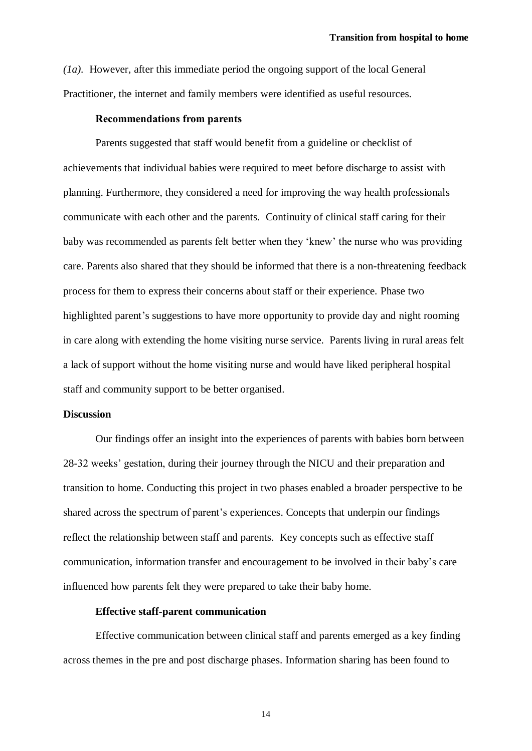*(1a).* However, after this immediate period the ongoing support of the local General Practitioner, the internet and family members were identified as useful resources.

#### **Recommendations from parents**

Parents suggested that staff would benefit from a guideline or checklist of achievements that individual babies were required to meet before discharge to assist with planning. Furthermore, they considered a need for improving the way health professionals communicate with each other and the parents. Continuity of clinical staff caring for their baby was recommended as parents felt better when they 'knew' the nurse who was providing care. Parents also shared that they should be informed that there is a non-threatening feedback process for them to express their concerns about staff or their experience. Phase two highlighted parent's suggestions to have more opportunity to provide day and night rooming in care along with extending the home visiting nurse service. Parents living in rural areas felt a lack of support without the home visiting nurse and would have liked peripheral hospital staff and community support to be better organised.

### **Discussion**

Our findings offer an insight into the experiences of parents with babies born between 28-32 weeks' gestation, during their journey through the NICU and their preparation and transition to home. Conducting this project in two phases enabled a broader perspective to be shared across the spectrum of parent's experiences. Concepts that underpin our findings reflect the relationship between staff and parents. Key concepts such as effective staff communication, information transfer and encouragement to be involved in their baby's care influenced how parents felt they were prepared to take their baby home.

#### **Effective staff-parent communication**

Effective communication between clinical staff and parents emerged as a key finding across themes in the pre and post discharge phases. Information sharing has been found to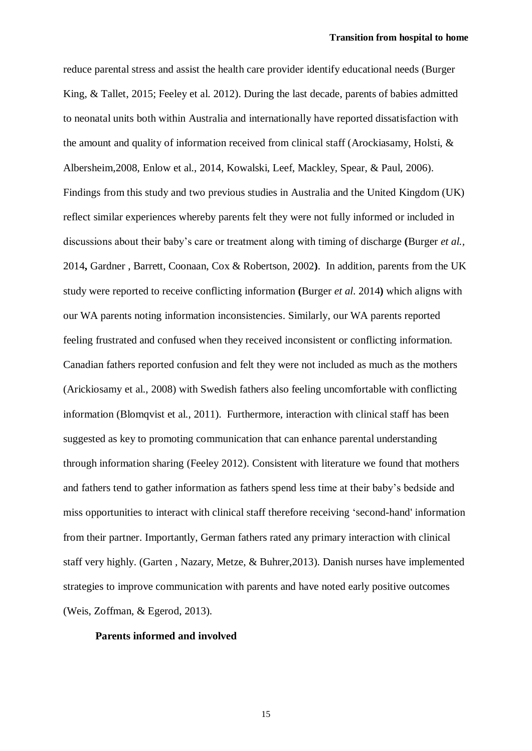reduce parental stress and assist the health care provider identify educational needs (Burger King, & Tallet, 2015; Feeley et al. 2012). During the last decade, parents of babies admitted to neonatal units both within Australia and internationally have reported dissatisfaction with the amount and quality of information received from clinical staff (Arockiasamy, Holsti, & Albersheim,2008, Enlow et al., 2014, Kowalski, Leef, Mackley, Spear, & Paul, 2006). Findings from this study and two previous studies in Australia and the United Kingdom (UK) reflect similar experiences whereby parents felt they were not fully informed or included in discussions about their baby's care or treatment along with timing of discharge **(**Burger *et al.,* 2014**,** Gardner , Barrett, Coonaan, Cox & Robertson*,* 2002**)**. In addition, parents from the UK study were reported to receive conflicting information **(**Burger *et al*. 2014**)** which aligns with our WA parents noting information inconsistencies. Similarly, our WA parents reported feeling frustrated and confused when they received inconsistent or conflicting information. Canadian fathers reported confusion and felt they were not included as much as the mothers (Arickiosamy et al., 2008) with Swedish fathers also feeling uncomfortable with conflicting information (Blomqvist et al., 2011). Furthermore, interaction with clinical staff has been suggested as key to promoting communication that can enhance parental understanding through information sharing (Feeley 2012). Consistent with literature we found that mothers and fathers tend to gather information as fathers spend less time at their baby's bedside and miss opportunities to interact with clinical staff therefore receiving 'second-hand' information from their partner. Importantly, German fathers rated any primary interaction with clinical staff very highly. (Garten *,* Nazary, Metze, & Buhrer,2013). Danish nurses have implemented strategies to improve communication with parents and have noted early positive outcomes (Weis, Zoffman, & Egerod, 2013).

#### **Parents informed and involved**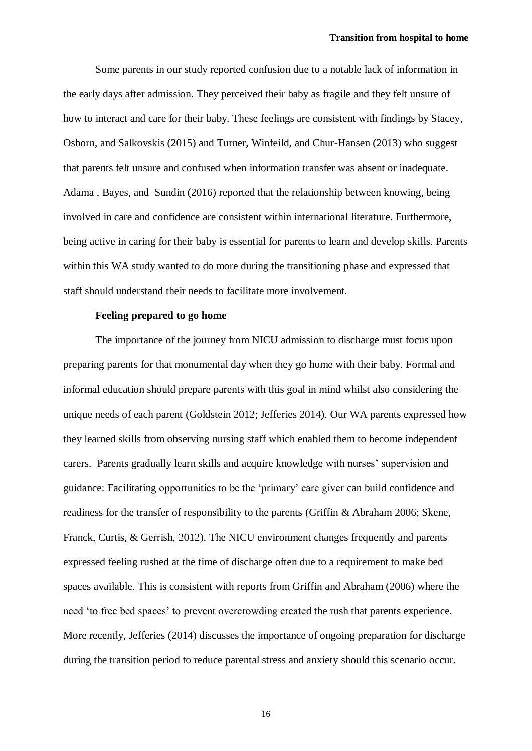Some parents in our study reported confusion due to a notable lack of information in the early days after admission. They perceived their baby as fragile and they felt unsure of how to interact and care for their baby. These feelings are consistent with findings by Stacey, Osborn, and Salkovskis (2015) and Turner, Winfeild, and Chur-Hansen (2013) who suggest that parents felt unsure and confused when information transfer was absent or inadequate. Adama *,* Bayes, and Sundin (2016) reported that the relationship between knowing, being involved in care and confidence are consistent within international literature. Furthermore, being active in caring for their baby is essential for parents to learn and develop skills. Parents within this WA study wanted to do more during the transitioning phase and expressed that staff should understand their needs to facilitate more involvement.

#### **Feeling prepared to go home**

The importance of the journey from NICU admission to discharge must focus upon preparing parents for that monumental day when they go home with their baby. Formal and informal education should prepare parents with this goal in mind whilst also considering the unique needs of each parent (Goldstein 2012; Jefferies 2014). Our WA parents expressed how they learned skills from observing nursing staff which enabled them to become independent carers. Parents gradually learn skills and acquire knowledge with nurses' supervision and guidance: Facilitating opportunities to be the 'primary' care giver can build confidence and readiness for the transfer of responsibility to the parents (Griffin & Abraham 2006; Skene, Franck, Curtis, & Gerrish, 2012). The NICU environment changes frequently and parents expressed feeling rushed at the time of discharge often due to a requirement to make bed spaces available. This is consistent with reports from Griffin and Abraham (2006) where the need 'to free bed spaces' to prevent overcrowding created the rush that parents experience. More recently, Jefferies (2014) discusses the importance of ongoing preparation for discharge during the transition period to reduce parental stress and anxiety should this scenario occur.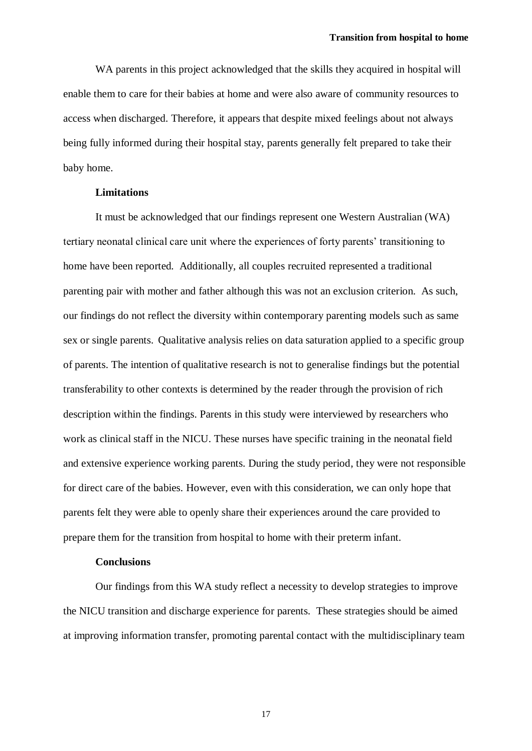WA parents in this project acknowledged that the skills they acquired in hospital will enable them to care for their babies at home and were also aware of community resources to access when discharged. Therefore, it appears that despite mixed feelings about not always being fully informed during their hospital stay, parents generally felt prepared to take their baby home.

### **Limitations**

It must be acknowledged that our findings represent one Western Australian (WA) tertiary neonatal clinical care unit where the experiences of forty parents' transitioning to home have been reported. Additionally, all couples recruited represented a traditional parenting pair with mother and father although this was not an exclusion criterion. As such, our findings do not reflect the diversity within contemporary parenting models such as same sex or single parents. Qualitative analysis relies on data saturation applied to a specific group of parents. The intention of qualitative research is not to generalise findings but the potential transferability to other contexts is determined by the reader through the provision of rich description within the findings. Parents in this study were interviewed by researchers who work as clinical staff in the NICU. These nurses have specific training in the neonatal field and extensive experience working parents. During the study period, they were not responsible for direct care of the babies. However, even with this consideration, we can only hope that parents felt they were able to openly share their experiences around the care provided to prepare them for the transition from hospital to home with their preterm infant.

### **Conclusions**

Our findings from this WA study reflect a necessity to develop strategies to improve the NICU transition and discharge experience for parents. These strategies should be aimed at improving information transfer, promoting parental contact with the multidisciplinary team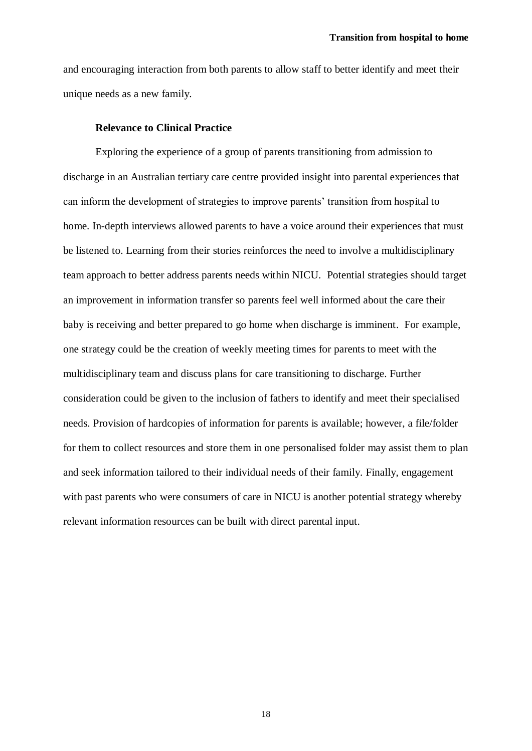and encouraging interaction from both parents to allow staff to better identify and meet their unique needs as a new family.

### **Relevance to Clinical Practice**

Exploring the experience of a group of parents transitioning from admission to discharge in an Australian tertiary care centre provided insight into parental experiences that can inform the development of strategies to improve parents' transition from hospital to home. In-depth interviews allowed parents to have a voice around their experiences that must be listened to. Learning from their stories reinforces the need to involve a multidisciplinary team approach to better address parents needs within NICU. Potential strategies should target an improvement in information transfer so parents feel well informed about the care their baby is receiving and better prepared to go home when discharge is imminent. For example, one strategy could be the creation of weekly meeting times for parents to meet with the multidisciplinary team and discuss plans for care transitioning to discharge. Further consideration could be given to the inclusion of fathers to identify and meet their specialised needs. Provision of hardcopies of information for parents is available; however, a file/folder for them to collect resources and store them in one personalised folder may assist them to plan and seek information tailored to their individual needs of their family. Finally, engagement with past parents who were consumers of care in NICU is another potential strategy whereby relevant information resources can be built with direct parental input.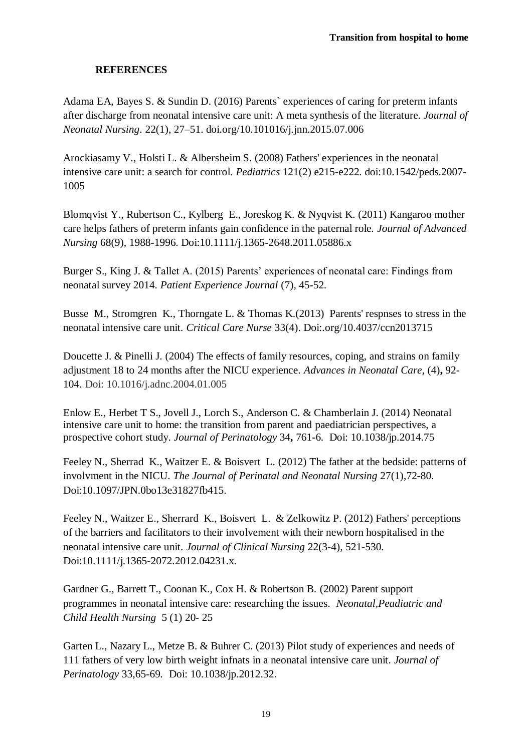## **REFERENCES**

Adama EA, Bayes S. & Sundin D. (2016) Parents` experiences of caring for preterm infants after discharge from neonatal intensive care unit: A meta synthesis of the literature. *Journal of Neonatal Nursing*. 22(1), 27–51. doi.org/10.101016/j.jnn.2015.07.006

Arockiasamy V., Holsti L. & Albersheim S. (2008) Fathers' experiences in the neonatal intensive care unit: a search for control. *Pediatrics* 121(2) e215-e222. doi:10.1542/peds.2007- 1005

Blomqvist Y., Rubertson C., Kylberg E., Joreskog K. & Nyqvist K. (2011) Kangaroo mother care helps fathers of preterm infants gain confidence in the paternal role. *Journal of Advanced Nursing* 68(9), 1988-1996. Doi:10.1111/j.1365-2648.2011.05886.x

Burger S., King J. & Tallet A. (2015) Parents' experiences of neonatal care: Findings from neonatal survey 2014. *Patient Experience Journal* (7), 45-52.

Busse M., Stromgren K., Thorngate L. & Thomas K.(2013) Parents' respnses to stress in the neonatal intensive care unit. *Critical Care Nurse* 33(4). Doi:.org/10.4037/ccn2013715

Doucette J. & Pinelli J. (2004) The effects of family resources, coping, and strains on family adjustment 18 to 24 months after the NICU experience. *Advances in Neonatal Care,* (4)**,** 92- 104. Doi: 10.1016/j.adnc.2004.01.005

Enlow E., Herbet T S., Jovell J., Lorch S., Anderson C. & Chamberlain J. (2014) Neonatal intensive care unit to home: the transition from parent and paediatrician perspectives, a prospective cohort study. *Journal of Perinatology* 34**,** 761-6. Doi: 10.1038/jp.2014.75

Feeley N., Sherrad K., Waitzer E. & Boisvert L. (2012) The father at the bedside: patterns of involvment in the NICU. *The Journal of Perinatal and Neonatal Nursing* 27(1),72-80. Doi:10.1097/JPN.0bo13e31827fb415.

Feeley N., Waitzer E., Sherrard K., Boisvert L. & Zelkowitz P. (2012) Fathers' perceptions of the barriers and facilitators to their involvement with their newborn hospitalised in the neonatal intensive care unit. *Journal of Clinical Nursing* 22(3-4), 521-530. Doi:10.1111/j.1365-2072.2012.04231.x.

Gardner G., Barrett T., Coonan K., Cox H. & Robertson B. (2002) Parent support programmes in neonatal intensive care: researching the issues. *Neonatal,Peadiatric and Child Health Nursing* 5 (1) 20- 25

Garten L., Nazary L., Metze B. & Buhrer C. (2013) Pilot study of experiences and needs of 111 fathers of very low birth weight infnats in a neonatal intensive care unit. *Journal of Perinatology* 33,65-69*.* Doi: 10.1038/jp.2012.32.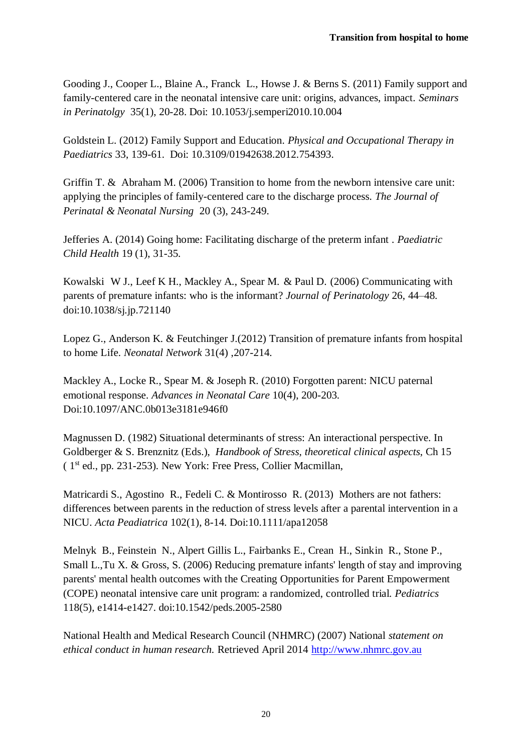Gooding J., Cooper L., Blaine A., Franck L., Howse J. & Berns S. (2011) Family support and family-centered care in the neonatal intensive care unit: origins, advances, impact. *Seminars in Perinatolgy* 35(1), 20-28. Doi: 10.1053/j.semperi2010.10.004

Goldstein L. (2012) Family Support and Education. *Physical and Occupational Therapy in Paediatrics* 33, 139-61. Doi: 10.3109/01942638.2012.754393.

Griffin T. & Abraham M. (2006) Transition to home from the newborn intensive care unit: applying the principles of family-centered care to the discharge process. *The Journal of Perinatal & Neonatal Nursing* 20 (3), 243-249.

Jefferies A. (2014) Going home: Facilitating discharge of the preterm infant . *Paediatric Child Health* 19 (1), 31-35.

Kowalski W J., Leef K H., Mackley A., Spear M. & Paul D. (2006) Communicating with parents of premature infants: who is the informant? *Journal of Perinatology* 26, 44–48. doi:10.1038/sj.jp.721140

Lopez G., Anderson K. & Feutchinger J.(2012) Transition of premature infants from hospital to home Life. *Neonatal Network* 31(4) ,207-214.

Mackley A., Locke R., Spear M. & Joseph R. (2010) Forgotten parent: NICU paternal emotional response. *Advances in Neonatal Care* 10(4), 200-203. Doi:10.1097/ANC.0b013e3181e946f0

Magnussen D. (1982) Situational determinants of stress: An interactional perspective. In Goldberger & S. Brenznitz (Eds.), *Handbook of Stress, theoretical clinical aspects*, Ch 15 ( 1st ed., pp. 231-253). New York: Free Press, Collier Macmillan,

Matricardi S., Agostino R., Fedeli C. & Montirosso R. (2013) Mothers are not fathers: differences between parents in the reduction of stress levels after a parental intervention in a NICU. *Acta Peadiatrica* 102(1), 8-14. Doi:10.1111/apa12058

Melnyk B., Feinstein N., Alpert Gillis L., Fairbanks E., Crean H., Sinkin R., Stone P., Small L.,Tu X. & Gross, S. (2006) Reducing premature infants' length of stay and improving parents' mental health outcomes with the Creating Opportunities for Parent Empowerment (COPE) neonatal intensive care unit program: a randomized, controlled trial. *Pediatrics* 118(5), e1414-e1427. doi:10.1542/peds.2005-2580

National Health and Medical Research Council (NHMRC) (2007) National *statement on ethical conduct in human research.* Retrieved April 2014 [http://www.nhmrc.gov.au](http://www.nhmrc.gov.au/)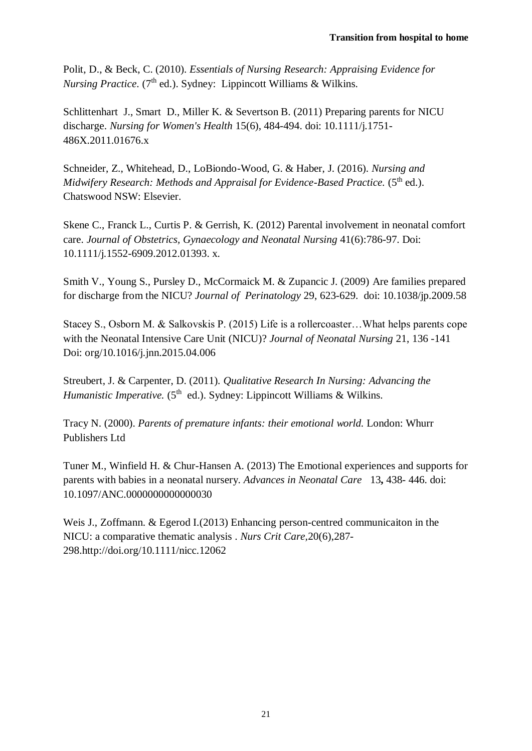Polit, D., & Beck, C. (2010). *Essentials of Nursing Research: Appraising Evidence for Nursing Practice.*  $(7<sup>th</sup>$  ed.). Sydney: Lippincott Williams & Wilkins.

Schlittenhart J., Smart D., Miller K. & Severtson B. (2011) Preparing parents for NICU discharge. *Nursing for Women's Health* 15(6), 484-494. doi: 10.1111/j.1751- 486X.2011.01676.x

Schneider, Z., Whitehead, D., LoBiondo-Wood, G. & Haber, J. (2016). *Nursing and Midwifery Research: Methods and Appraisal for Evidence-Based Practice.* (5<sup>th</sup> ed.). Chatswood NSW: Elsevier.

[Skene](http://www-ncbi-nlm-nih-gov.kelibresources.health.wa.gov.au/pubmed/?term=Skene%20C%5BAuthor%5D&cauthor=true&cauthor_uid=22789154) C., [Franck L.](http://www-ncbi-nlm-nih-gov.kelibresources.health.wa.gov.au/pubmed/?term=Franck%20L%5BAuthor%5D&cauthor=true&cauthor_uid=22789154), [Curtis P.](http://www-ncbi-nlm-nih-gov.kelibresources.health.wa.gov.au/pubmed/?term=Curtis%20P%5BAuthor%5D&cauthor=true&cauthor_uid=22789154) & [Gerrish,](http://www-ncbi-nlm-nih-gov.kelibresources.health.wa.gov.au/pubmed/?term=Gerrish%20K%5BAuthor%5D&cauthor=true&cauthor_uid=22789154) K. (2012) Parental involvement in neonatal comfort care. *Journal of Obstetrics, Gynaecology and Neonatal Nursing* 41(6):786-97. Doi: 10.1111/j.1552-6909.2012.01393. x.

Smith V., Young S., Pursley D., McCormaick M. & Zupancic J. (2009) Are families prepared for discharge from the NICU? *Journal of Perinatology* 29, 623-629. doi: 10.1038/jp.2009.58

Stacey S., Osborn M. & Salkovskis P. (2015) Life is a rollercoaster…What helps parents cope with the Neonatal Intensive Care Unit (NICU)? *Journal of Neonatal Nursing* 21, 136 -141 Doi: org/10.1016/j.jnn.2015.04.006

Streubert, J. & Carpenter, D. (2011). *Qualitative Research In Nursing: Advancing the*  Humanistic Imperative. (5<sup>th</sup> ed.). Sydney: Lippincott Williams & Wilkins.

Tracy N. (2000). *Parents of premature infants: their emotional world.* London: Whurr Publishers Ltd

Tuner M., Winfield H. & Chur-Hansen A. (2013) The Emotional experiences and supports for parents with babies in a neonatal nursery. *Advances in Neonatal Care* 13**,** 438- 446. doi: 10.1097/ANC.0000000000000030

Weis J., Zoffmann. & Egerod I.(2013) Enhancing person-centred communicaiton in the NICU: a comparative thematic analysis . *Nurs Crit Care,*20(6),287- 298.http://doi.org/10.1111/nicc.12062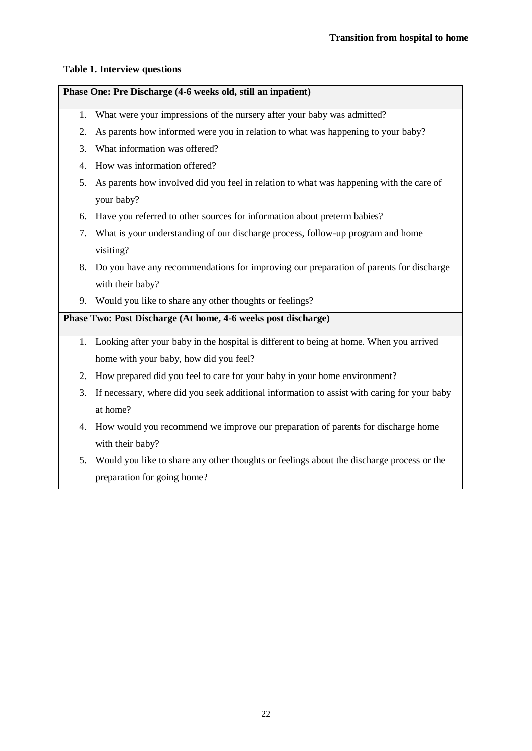# **Table 1. Interview questions**

| 1. | What were your impressions of the nursery after your baby was admitted?                                    |
|----|------------------------------------------------------------------------------------------------------------|
| 2. | As parents how informed were you in relation to what was happening to your baby?                           |
| 3. | What information was offered?                                                                              |
| 4. | How was information offered?                                                                               |
| 5. | As parents how involved did you feel in relation to what was happening with the care of<br>your baby?      |
| 6. | Have you referred to other sources for information about preterm babies?                                   |
| 7. | What is your understanding of our discharge process, follow-up program and home<br>visiting?               |
| 8. | Do you have any recommendations for improving our preparation of parents for discharge<br>with their baby? |
|    | 9. Would you like to share any other thoughts or feelings?                                                 |
|    | Phase Two: Post Discharge (At home, 4-6 weeks post discharge)                                              |
|    | 1. Looking after your baby in the hospital is different to being at home. When you arrived                 |
|    | home with your baby, how did you feel?                                                                     |
| 2. | How prepared did you feel to care for your baby in your home environment?                                  |
|    | If necessary, where did you seek additional information to assist with caring for your baby                |
| 3. | at home?                                                                                                   |
|    | 4. How would you recommend we improve our preparation of parents for discharge home<br>with their baby?    |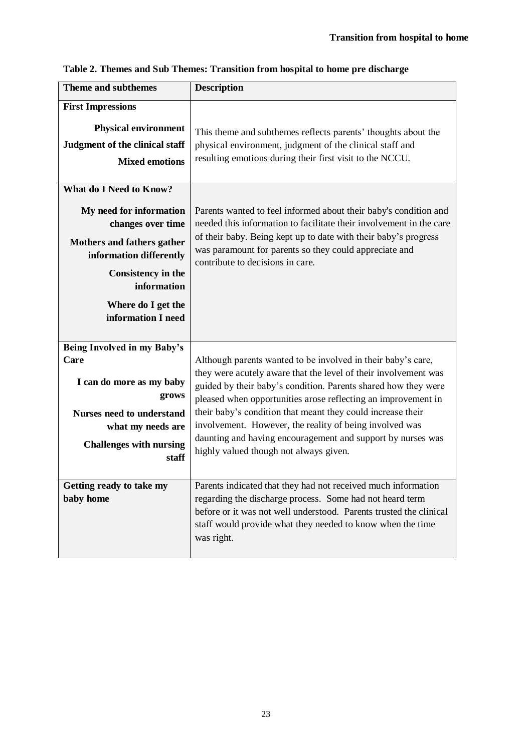| <b>Theme and subthemes</b>                                                                            | <b>Description</b>                                                                                                                                                                                                                                                                                       |  |  |  |  |
|-------------------------------------------------------------------------------------------------------|----------------------------------------------------------------------------------------------------------------------------------------------------------------------------------------------------------------------------------------------------------------------------------------------------------|--|--|--|--|
| <b>First Impressions</b>                                                                              |                                                                                                                                                                                                                                                                                                          |  |  |  |  |
| <b>Physical environment</b><br>Judgment of the clinical staff<br><b>Mixed emotions</b>                | This theme and subthemes reflects parents' thoughts about the<br>physical environment, judgment of the clinical staff and<br>resulting emotions during their first visit to the NCCU.                                                                                                                    |  |  |  |  |
| <b>What do I Need to Know?</b>                                                                        |                                                                                                                                                                                                                                                                                                          |  |  |  |  |
| My need for information<br>changes over time<br>Mothers and fathers gather<br>information differently | Parents wanted to feel informed about their baby's condition and<br>needed this information to facilitate their involvement in the care<br>of their baby. Being kept up to date with their baby's progress<br>was paramount for parents so they could appreciate and<br>contribute to decisions in care. |  |  |  |  |
| Consistency in the<br>information                                                                     |                                                                                                                                                                                                                                                                                                          |  |  |  |  |
| Where do I get the<br>information I need                                                              |                                                                                                                                                                                                                                                                                                          |  |  |  |  |
| Being Involved in my Baby's                                                                           |                                                                                                                                                                                                                                                                                                          |  |  |  |  |
| Care                                                                                                  | Although parents wanted to be involved in their baby's care,                                                                                                                                                                                                                                             |  |  |  |  |
| I can do more as my baby<br>grows                                                                     | they were acutely aware that the level of their involvement was<br>guided by their baby's condition. Parents shared how they were<br>pleased when opportunities arose reflecting an improvement in                                                                                                       |  |  |  |  |
| <b>Nurses need to understand</b>                                                                      | their baby's condition that meant they could increase their                                                                                                                                                                                                                                              |  |  |  |  |
| what my needs are                                                                                     | involvement. However, the reality of being involved was<br>daunting and having encouragement and support by nurses was                                                                                                                                                                                   |  |  |  |  |
| <b>Challenges with nursing</b><br>staff                                                               | highly valued though not always given.                                                                                                                                                                                                                                                                   |  |  |  |  |
| Getting ready to take my<br>baby home                                                                 | Parents indicated that they had not received much information<br>regarding the discharge process. Some had not heard term<br>before or it was not well understood. Parents trusted the clinical<br>staff would provide what they needed to know when the time<br>was right.                              |  |  |  |  |

**Table 2. Themes and Sub Themes: Transition from hospital to home pre discharge**